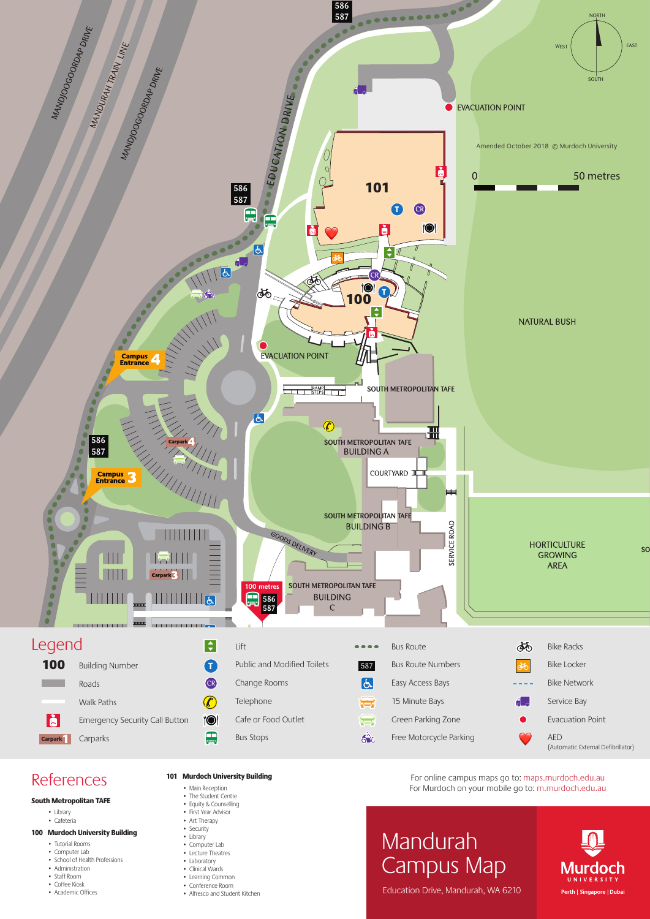

# **References**

- South Metropolitan TAFE
	- Library
	- Cafeteria

## 100 Murdoch University Building

- Tutorial Rooms
- Computer Lab • School of Health Professions
- 
- Administration
- 
- Staff Room
- Coffee Kiosk
- Academic Offices

# 101 Murdoch University Building

- Main Reception
- The Student Centre
- Equity & Counselling • First Year Advisor
- Art Therapy
- **Security**
- Library
- Computer Lab Lecture Theatres
- Laboratory
- Clinical Wards
- Learning Common Conference Room
- 
- Alfresco and Student Kitchen

For online campus maps go to: maps.murdoch.edu.au For Murdoch on your mobile go to: m.murdoch.edu.au

# Mandurah Campus Map



Education Drive, Mandurah, WA 6210